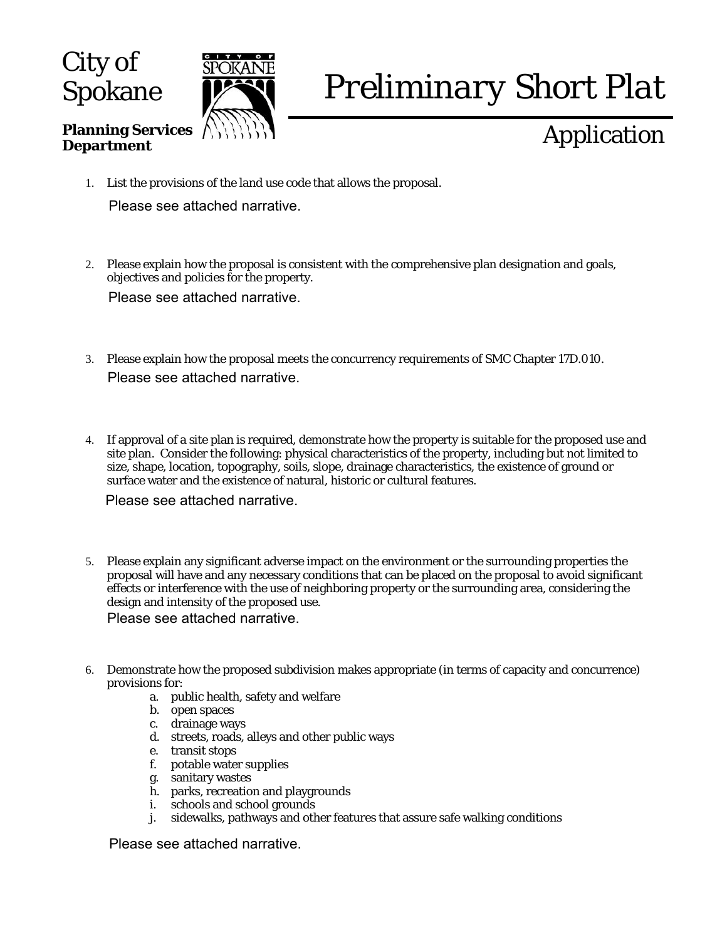City of **Spokane** 

**Department** 

**Planning Services** 



# *Preliminary Short Plat*

## Application

- 1. List the provisions of the land use code that allows the proposal. Please see attached narrative.
- 2. Please explain how the proposal is consistent with the comprehensive plan designation and goals, objectives and policies for the property. Please see attached narrative.
- 3. Please explain how the proposal meets the concurrency requirements of SMC Chapter 17D.010. Please see attached narrative.
- 4. If approval of a site plan is required, demonstrate how the property is suitable for the proposed use and site plan. Consider the following: physical characteristics of the property, including but not limited to size, shape, location, topography, soils, slope, drainage characteristics, the existence of ground or surface water and the existence of natural, historic or cultural features.

Please see attached narrative.

5. Please explain any significant adverse impact on the environment or the surrounding properties the proposal will have and any necessary conditions that can be placed on the proposal to avoid significant effects or interference with the use of neighboring property or the surrounding area, considering the design and intensity of the proposed use.

Please see attached narrative.

- 6. Demonstrate how the proposed subdivision makes appropriate (in terms of capacity and concurrence) provisions for:
	- a. public health, safety and welfare
	- b. open spaces
	- c. drainage ways
	- d. streets, roads, alleys and other public ways
	- e. transit stops<br>f. potable wate
	- potable water supplies
	- g. sanitary wastes
	- h. parks, recreation and playgrounds
	- i. schools and school grounds
	- j. sidewalks, pathways and other features that assure safe walking conditions

Please see attached narrative.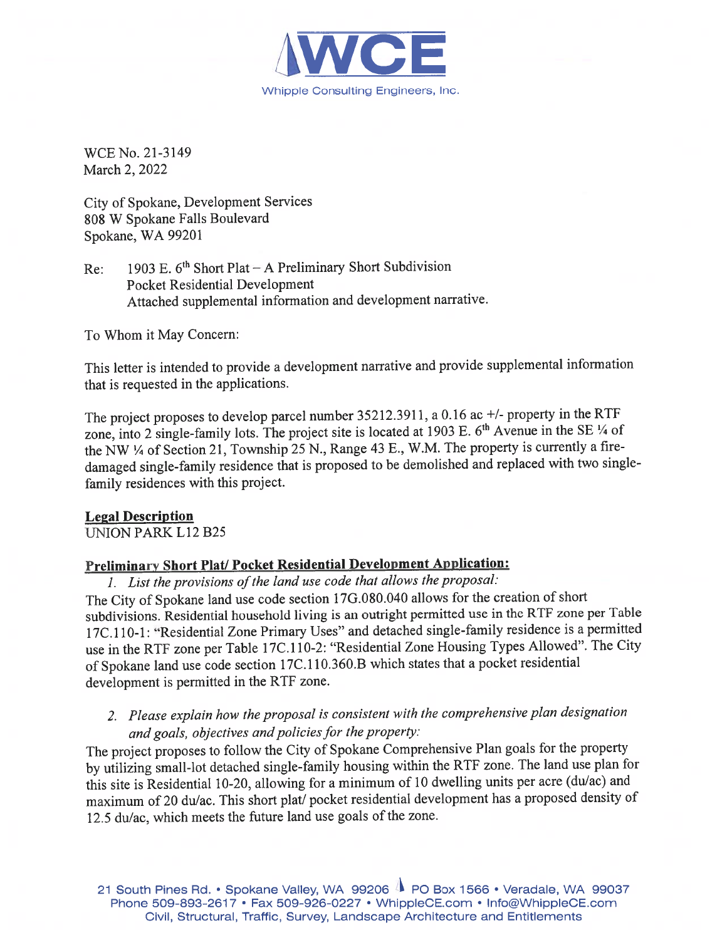

WCE No. 21-3149 March 2, 2022

City of Spokane, Development Services 808 W Spokane Falls Boulevard Spokane, WA 99201

1903 E. 6<sup>th</sup> Short Plat - A Preliminary Short Subdivision Re: **Pocket Residential Development** Attached supplemental information and development narrative.

To Whom it May Concern:

This letter is intended to provide a development narrative and provide supplemental information that is requested in the applications.

The project proposes to develop parcel number 35212.3911, a 0.16 ac +/- property in the RTF zone, into 2 single-family lots. The project site is located at 1903 E. 6<sup>th</sup> Avenue in the SE 1/4 of the NW 1/4 of Section 21, Township 25 N., Range 43 E., W.M. The property is currently a firedamaged single-family residence that is proposed to be demolished and replaced with two singlefamily residences with this project.

#### **Legal Description**

**UNION PARK L12 B25** 

#### Preliminary Short Plat/ Pocket Residential Development Application:

1. List the provisions of the land use code that allows the proposal:

The City of Spokane land use code section 17G.080.040 allows for the creation of short subdivisions. Residential household living is an outright permitted use in the RTF zone per Table 17C.110-1: "Residential Zone Primary Uses" and detached single-family residence is a permitted use in the RTF zone per Table 17C.110-2: "Residential Zone Housing Types Allowed". The City of Spokane land use code section 17C.110.360.B which states that a pocket residential development is permitted in the RTF zone.

2. Please explain how the proposal is consistent with the comprehensive plan designation and goals, objectives and policies for the property:

The project proposes to follow the City of Spokane Comprehensive Plan goals for the property by utilizing small-lot detached single-family housing within the RTF zone. The land use plan for this site is Residential 10-20, allowing for a minimum of 10 dwelling units per acre (du/ac) and maximum of 20 du/ac. This short plat/ pocket residential development has a proposed density of 12.5 du/ac, which meets the future land use goals of the zone.

21 South Pines Rd. • Spokane Valley, WA 99206 1 PO Box 1566 • Veradale, WA 99037 Phone 509-893-2617 • Fax 509-926-0227 • WhippleCE.com • Info@WhippleCE.com Civil, Structural, Traffic, Survey, Landscape Architecture and Entitlements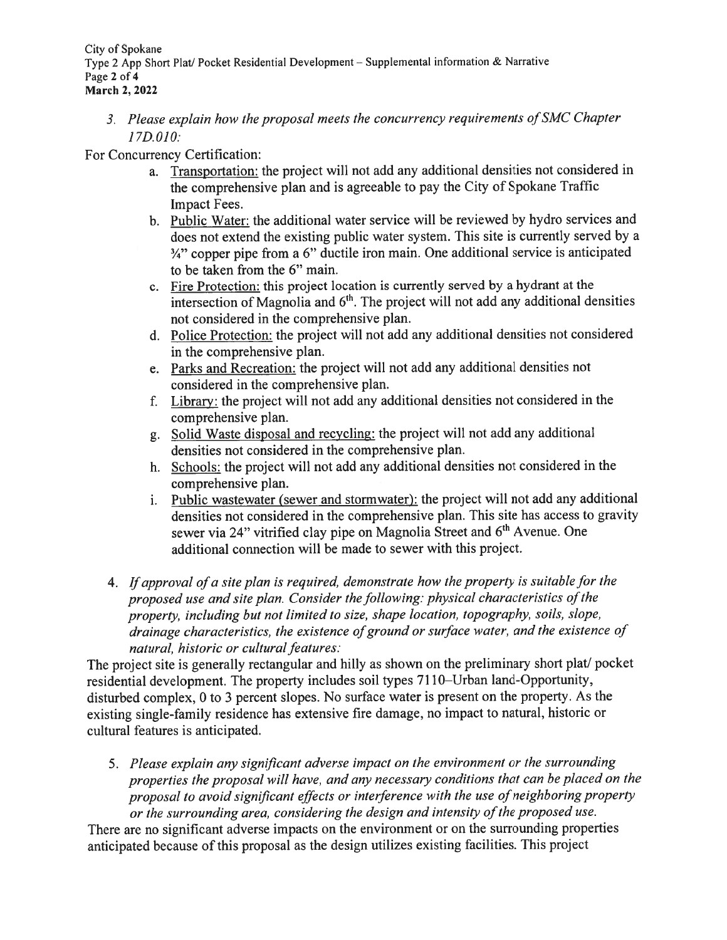City of Spokane Type 2 App Short Plat/ Pocket Residential Development – Supplemental information & Narrative Page 2 of 4 **March 2, 2022** 

3. Please explain how the proposal meets the concurrency requirements of SMC Chapter  $17D.010:$ 

For Concurrency Certification:

- a. Transportation: the project will not add any additional densities not considered in the comprehensive plan and is agreeable to pay the City of Spokane Traffic Impact Fees.
- b. Public Water: the additional water service will be reviewed by hydro services and does not extend the existing public water system. This site is currently served by a  $\frac{3}{4}$ " copper pipe from a 6" ductile iron main. One additional service is anticipated to be taken from the 6" main.
- c. Fire Protection: this project location is currently served by a hydrant at the intersection of Magnolia and 6<sup>th</sup>. The project will not add any additional densities not considered in the comprehensive plan.
- d. Police Protection: the project will not add any additional densities not considered in the comprehensive plan.
- e. Parks and Recreation: the project will not add any additional densities not considered in the comprehensive plan.
- f. Library: the project will not add any additional densities not considered in the comprehensive plan.
- g. Solid Waste disposal and recycling: the project will not add any additional densities not considered in the comprehensive plan.
- h. Schools: the project will not add any additional densities not considered in the comprehensive plan.
- Public wastewater (sewer and stormwater): the project will not add any additional  $i$ . densities not considered in the comprehensive plan. This site has access to gravity sewer via 24" vitrified clay pipe on Magnolia Street and 6<sup>th</sup> Avenue. One additional connection will be made to sewer with this project.
- 4. If approval of a site plan is required, demonstrate how the property is suitable for the proposed use and site plan. Consider the following: physical characteristics of the property, including but not limited to size, shape location, topography, soils, slope, drainage characteristics, the existence of ground or surface water, and the existence of natural, historic or cultural features:

The project site is generally rectangular and hilly as shown on the preliminary short plat/ pocket residential development. The property includes soil types 7110–Urban land-Opportunity, disturbed complex, 0 to 3 percent slopes. No surface water is present on the property. As the existing single-family residence has extensive fire damage, no impact to natural, historic or cultural features is anticipated.

5. Please explain any significant adverse impact on the environment or the surrounding properties the proposal will have, and any necessary conditions that can be placed on the proposal to avoid significant effects or interference with the use of neighboring property or the surrounding area, considering the design and intensity of the proposed use.

There are no significant adverse impacts on the environment or on the surrounding properties anticipated because of this proposal as the design utilizes existing facilities. This project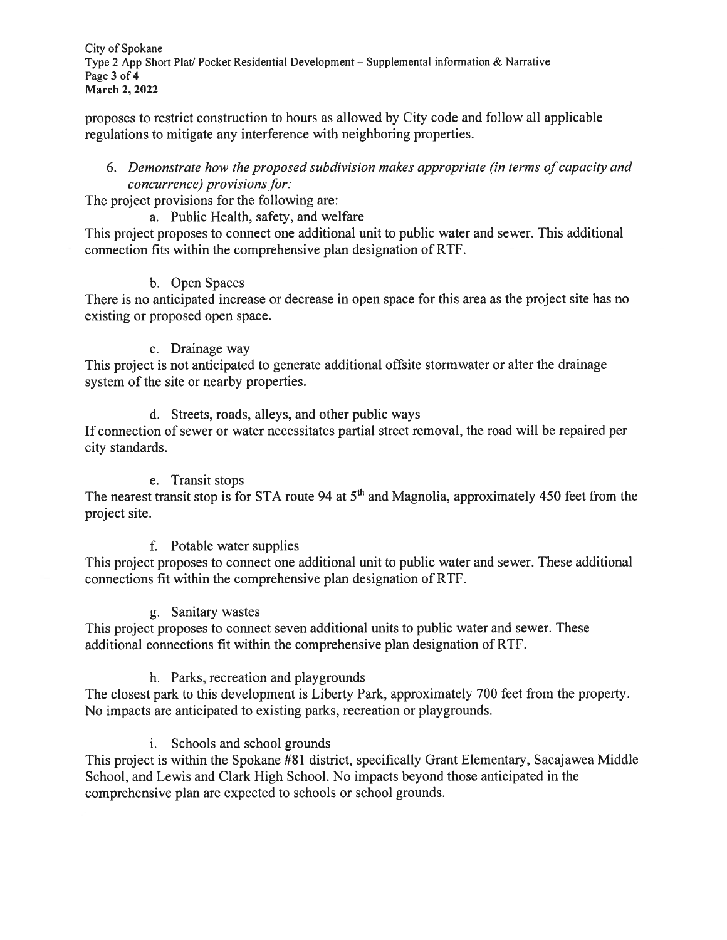City of Spokane Type 2 App Short Plat/ Pocket Residential Development – Supplemental information & Narrative Page 3 of 4 March 2, 2022

proposes to restrict construction to hours as allowed by City code and follow all applicable regulations to mitigate any interference with neighboring properties.

#### 6. Demonstrate how the proposed subdivision makes appropriate (in terms of capacity and concurrence) provisions for:

The project provisions for the following are:

a. Public Health, safety, and welfare

This project proposes to connect one additional unit to public water and sewer. This additional connection fits within the comprehensive plan designation of RTF.

### b. Open Spaces

There is no anticipated increase or decrease in open space for this area as the project site has no existing or proposed open space.

#### c. Drainage way

This project is not anticipated to generate additional offsite stormwater or alter the drainage system of the site or nearby properties.

d. Streets, roads, alleys, and other public ways

If connection of sewer or water necessitates partial street removal, the road will be repaired per city standards.

### e. Transit stops

The nearest transit stop is for STA route 94 at 5<sup>th</sup> and Magnolia, approximately 450 feet from the project site.

### f. Potable water supplies

This project proposes to connect one additional unit to public water and sewer. These additional connections fit within the comprehensive plan designation of RTF.

### g. Sanitary wastes

This project proposes to connect seven additional units to public water and sewer. These additional connections fit within the comprehensive plan designation of RTF.

### h. Parks, recreation and playgrounds

The closest park to this development is Liberty Park, approximately 700 feet from the property. No impacts are anticipated to existing parks, recreation or playgrounds.

### i. Schools and school grounds

This project is within the Spokane #81 district, specifically Grant Elementary, Sacajawea Middle School, and Lewis and Clark High School. No impacts beyond those anticipated in the comprehensive plan are expected to schools or school grounds.